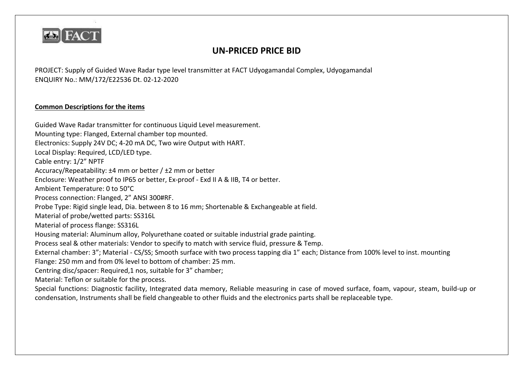

## **UN-PRICED PRICE BID**

PROJECT: Supply of Guided Wave Radar type level transmitter at FACT Udyogamandal Complex, Udyogamandal ENQUIRY No.: MM/172/E22536 Dt. 02-12-2020

## **Common Descriptions for the items**

Guided Wave Radar transmitter for continuous Liquid Level measurement. Mounting type: Flanged, External chamber top mounted. Electronics: Supply 24V DC; 4-20 mA DC, Two wire Output with HART. Local Display: Required, LCD/LED type. Cable entry: 1/2" NPTF Accuracy/Repeatability: ±4 mm or better / ±2 mm or better Enclosure: Weather proof to IP65 or better, Ex-proof - Exd II A & IIB, T4 or better. Ambient Temperature: 0 to 50°C Process connection: Flanged, 2" ANSI 300#RF. Probe Type: Rigid single lead, Dia. between 8 to 16 mm; Shortenable & Exchangeable at field. Material of probe/wetted parts: SS316L Material of process flange: SS316L Housing material: Aluminum alloy, Polyurethane coated or suitable industrial grade painting. Process seal & other materials: Vendor to specify to match with service fluid, pressure & Temp. External chamber: 3"; Material - CS/SS; Smooth surface with two process tapping dia 1" each; Distance from 100% level to inst. mounting Flange: 250 mm and from 0% level to bottom of chamber: 25 mm. Centring disc/spacer: Required,1 nos, suitable for 3" chamber; Material: Teflon or suitable for the process. Special functions: Diagnostic facility, Integrated data memory, Reliable measuring in case of moved surface, foam, vapour, steam, build-up or condensation, Instruments shall be field changeable to other fluids and the electronics parts shall be replaceable type.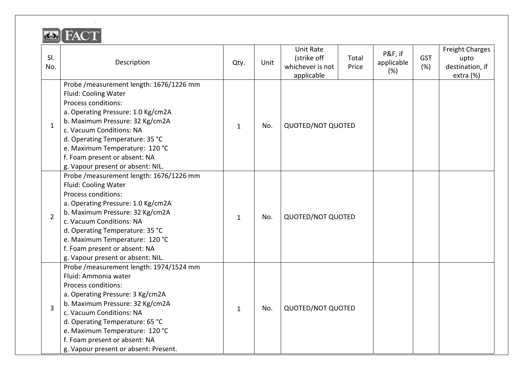| SI.<br>No.     | Description                                                                                                                                                                                                                                                                                                                               | Qty.         | Unit | <b>Unit Rate</b><br>(strike off<br>whichever is not<br>applicable | Total<br>Price | P&F, if<br>applicable<br>(%) | <b>GST</b><br>(%) | <b>Freight Charges</b><br>upto<br>destination, if<br>extra (%) |
|----------------|-------------------------------------------------------------------------------------------------------------------------------------------------------------------------------------------------------------------------------------------------------------------------------------------------------------------------------------------|--------------|------|-------------------------------------------------------------------|----------------|------------------------------|-------------------|----------------------------------------------------------------|
| $\mathbf{1}$   | Probe / measurement length: 1676/1226 mm<br>Fluid: Cooling Water<br>Process conditions:<br>a. Operating Pressure: 1.0 Kg/cm2A<br>b. Maximum Pressure: 32 Kg/cm2A<br>c. Vacuum Conditions: NA<br>d. Operating Temperature: 35 °C<br>e. Maximum Temperature: 120 °C<br>f. Foam present or absent: NA<br>g. Vapour present or absent: NIL.   | $\mathbf{1}$ | No.  | <b>QUOTED/NOT QUOTED</b>                                          |                |                              |                   |                                                                |
| $\overline{2}$ | Probe / measurement length: 1676/1226 mm<br>Fluid: Cooling Water<br>Process conditions:<br>a. Operating Pressure: 1.0 Kg/cm2A<br>b. Maximum Pressure: 32 Kg/cm2A<br>c. Vacuum Conditions: NA<br>d. Operating Temperature: 35 °C<br>e. Maximum Temperature: 120 °C<br>f. Foam present or absent: NA<br>g. Vapour present or absent: NIL.   | $\mathbf{1}$ | No.  | <b>QUOTED/NOT QUOTED</b>                                          |                |                              |                   |                                                                |
| 3              | Probe / measurement length: 1974/1524 mm<br>Fluid: Ammonia water<br>Process conditions:<br>a. Operating Pressure: 3 Kg/cm2A<br>b. Maximum Pressure: 32 Kg/cm2A<br>c. Vacuum Conditions: NA<br>d. Operating Temperature: 65 °C<br>e. Maximum Temperature: 120 °C<br>f. Foam present or absent: NA<br>g. Vapour present or absent: Present. | 1            | No.  | <b>QUOTED/NOT QUOTED</b>                                          |                |                              |                   |                                                                |

 $\sim$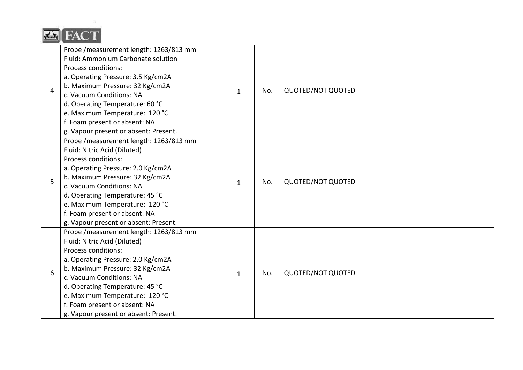| $\overline{4}$ | Probe / measurement length: 1263/813 mm<br>Fluid: Ammonium Carbonate solution<br>Process conditions:<br>a. Operating Pressure: 3.5 Kg/cm2A<br>b. Maximum Pressure: 32 Kg/cm2A<br>c. Vacuum Conditions: NA<br>d. Operating Temperature: 60 °C<br>e. Maximum Temperature: 120 °C<br>f. Foam present or absent: NA<br>g. Vapour present or absent: Present. | $\mathbf{1}$ | No. | <b>QUOTED/NOT QUOTED</b> |  |  |
|----------------|----------------------------------------------------------------------------------------------------------------------------------------------------------------------------------------------------------------------------------------------------------------------------------------------------------------------------------------------------------|--------------|-----|--------------------------|--|--|
| 5              | Probe / measurement length: 1263/813 mm<br>Fluid: Nitric Acid (Diluted)<br>Process conditions:<br>a. Operating Pressure: 2.0 Kg/cm2A<br>b. Maximum Pressure: 32 Kg/cm2A<br>c. Vacuum Conditions: NA<br>d. Operating Temperature: 45 °C<br>e. Maximum Temperature: 120 °C<br>f. Foam present or absent: NA<br>g. Vapour present or absent: Present.       | $\mathbf{1}$ | No. | <b>QUOTED/NOT QUOTED</b> |  |  |
| 6              | Probe / measurement length: 1263/813 mm<br>Fluid: Nitric Acid (Diluted)<br>Process conditions:<br>a. Operating Pressure: 2.0 Kg/cm2A<br>b. Maximum Pressure: 32 Kg/cm2A<br>c. Vacuum Conditions: NA<br>d. Operating Temperature: 45 °C<br>e. Maximum Temperature: 120 °C<br>f. Foam present or absent: NA<br>g. Vapour present or absent: Present.       | $\mathbf{1}$ | No. | <b>QUOTED/NOT QUOTED</b> |  |  |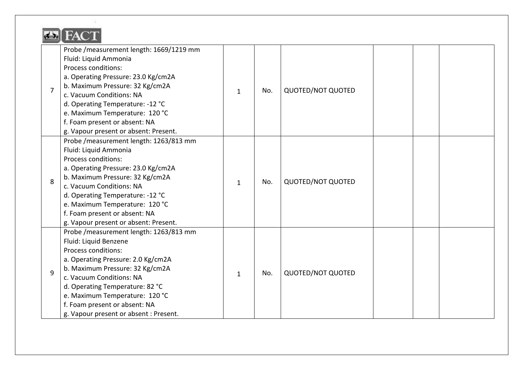| $\overline{7}$ | Probe / measurement length: 1669/1219 mm<br>Fluid: Liquid Ammonia<br>Process conditions:<br>a. Operating Pressure: 23.0 Kg/cm2A<br>b. Maximum Pressure: 32 Kg/cm2A<br>c. Vacuum Conditions: NA<br>d. Operating Temperature: -12 °C<br>e. Maximum Temperature: 120 °C<br>f. Foam present or absent: NA<br>g. Vapour present or absent: Present. | $\mathbf{1}$ | No. | QUOTED/NOT QUOTED        |  |  |
|----------------|------------------------------------------------------------------------------------------------------------------------------------------------------------------------------------------------------------------------------------------------------------------------------------------------------------------------------------------------|--------------|-----|--------------------------|--|--|
| 8              | Probe / measurement length: 1263/813 mm<br>Fluid: Liquid Ammonia<br>Process conditions:<br>a. Operating Pressure: 23.0 Kg/cm2A<br>b. Maximum Pressure: 32 Kg/cm2A<br>c. Vacuum Conditions: NA<br>d. Operating Temperature: -12 °C<br>e. Maximum Temperature: 120 °C<br>f. Foam present or absent: NA<br>g. Vapour present or absent: Present.  | $\mathbf{1}$ | No. | <b>QUOTED/NOT QUOTED</b> |  |  |
| $\overline{9}$ | Probe / measurement length: 1263/813 mm<br>Fluid: Liquid Benzene<br>Process conditions:<br>a. Operating Pressure: 2.0 Kg/cm2A<br>b. Maximum Pressure: 32 Kg/cm2A<br>c. Vacuum Conditions: NA<br>d. Operating Temperature: 82 °C<br>e. Maximum Temperature: 120 °C<br>f. Foam present or absent: NA<br>g. Vapour present or absent : Present.   | $\mathbf{1}$ | No. | <b>QUOTED/NOT QUOTED</b> |  |  |